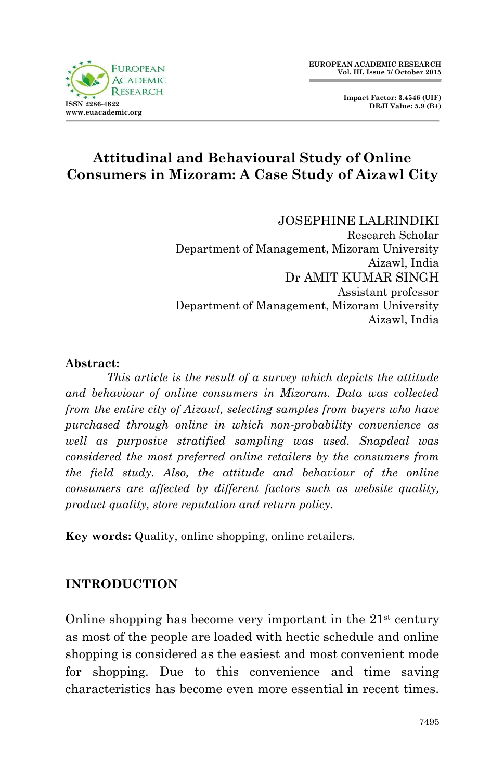



# **Attitudinal and Behavioural Study of Online Consumers in Mizoram: A Case Study of Aizawl City**

#### JOSEPHINE LALRINDIKI

Research Scholar Department of Management, Mizoram University Aizawl, India Dr AMIT KUMAR SINGH Assistant professor Department of Management, Mizoram University Aizawl, India

#### **Abstract:**

*This article is the result of a survey which depicts the attitude and behaviour of online consumers in Mizoram. Data was collected from the entire city of Aizawl, selecting samples from buyers who have purchased through online in which non-probability convenience as well as purposive stratified sampling was used. Snapdeal was considered the most preferred online retailers by the consumers from the field study. Also, the attitude and behaviour of the online consumers are affected by different factors such as website quality, product quality, store reputation and return policy.*

**Key words:** Quality, online shopping, online retailers.

## **INTRODUCTION**

Online shopping has become very important in the  $21<sup>st</sup>$  century as most of the people are loaded with hectic schedule and online shopping is considered as the easiest and most convenient mode for shopping. Due to this convenience and time saving characteristics has become even more essential in recent times.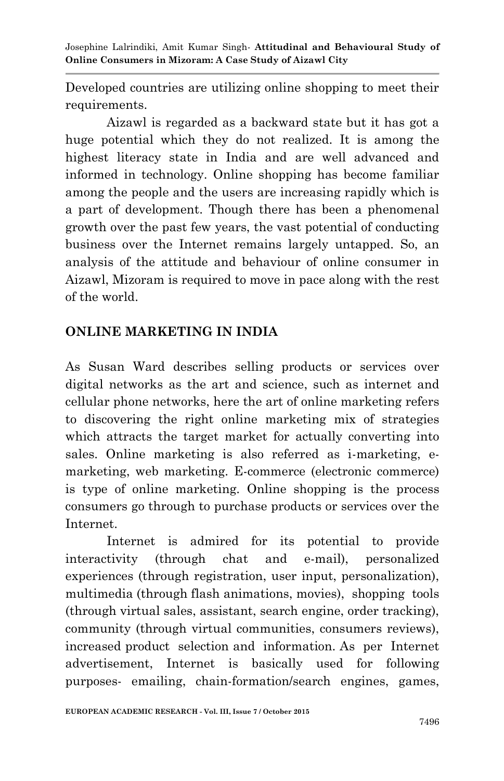Developed countries are utilizing online shopping to meet their requirements.

Aizawl is regarded as a backward state but it has got a huge potential which they do not realized. It is among the highest literacy state in India and are well advanced and informed in technology. Online shopping has become familiar among the people and the users are increasing rapidly which is a part of development. Though there has been a phenomenal growth over the past few years, the vast potential of conducting business over the Internet remains largely untapped. So, an analysis of the attitude and behaviour of online consumer in Aizawl, Mizoram is required to move in pace along with the rest of the world.

## **ONLINE MARKETING IN INDIA**

As Susan Ward describes selling products or services over digital networks as the art and science, such as internet and cellular phone networks, here the art of online marketing refers to discovering the right online marketing mix of strategies which attracts the target market for actually converting into sales. Online marketing is also referred as i-marketing, emarketing, web marketing. E-commerce (electronic commerce) is type of online marketing. Online shopping is the process consumers go through to purchase products or services over the Internet.

Internet is admired for its potential to provide interactivity (through chat and e-mail), personalized experiences (through registration, user input, personalization), multimedia (through flash animations, movies), shopping tools (through virtual sales, assistant, search engine, order tracking), community (through virtual communities, consumers reviews), increased product selection and information. As per Internet advertisement, Internet is basically used for following purposes- emailing, chain-formation/search engines, games,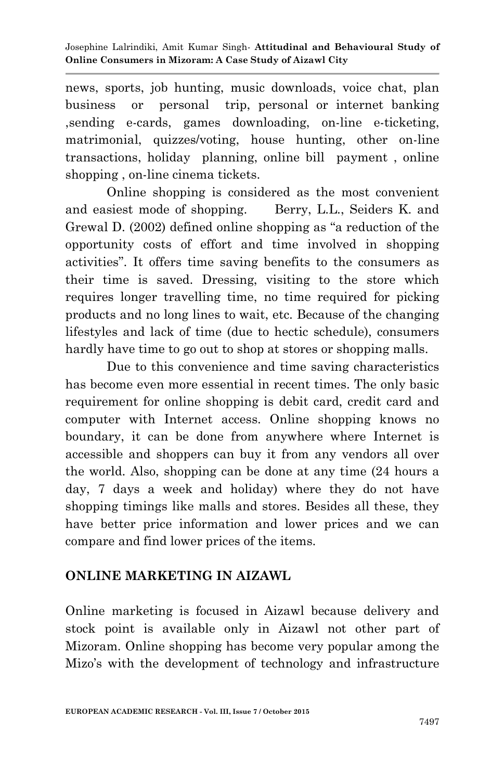news, sports, job hunting, music downloads, voice chat, plan business or personal trip, personal or internet banking ,sending e-cards, games downloading, on-line e-ticketing, matrimonial, quizzes/voting, house hunting, other on-line transactions, holiday planning, online bill payment , online shopping, on-line cinema tickets.

Online shopping is considered as the most convenient and easiest mode of shopping. Berry, L.L., Seiders K. and Grewal D. (2002) defined online shopping as "a reduction of the opportunity costs of effort and time involved in shopping activities". It offers time saving benefits to the consumers as their time is saved. Dressing, visiting to the store which requires longer travelling time, no time required for picking products and no long lines to wait, etc. Because of the changing lifestyles and lack of time (due to hectic schedule), consumers hardly have time to go out to shop at stores or shopping malls.

Due to this convenience and time saving characteristics has become even more essential in recent times. The only basic requirement for online shopping is debit card, credit card and computer with Internet access. Online shopping knows no boundary, it can be done from anywhere where Internet is accessible and shoppers can buy it from any vendors all over the world. Also, shopping can be done at any time (24 hours a day, 7 days a week and holiday) where they do not have shopping timings like malls and stores. Besides all these, they have better price information and lower prices and we can compare and find lower prices of the items.

## **ONLINE MARKETING IN AIZAWL**

Online marketing is focused in Aizawl because delivery and stock point is available only in Aizawl not other part of Mizoram. Online shopping has become very popular among the Mizo's with the development of technology and infrastructure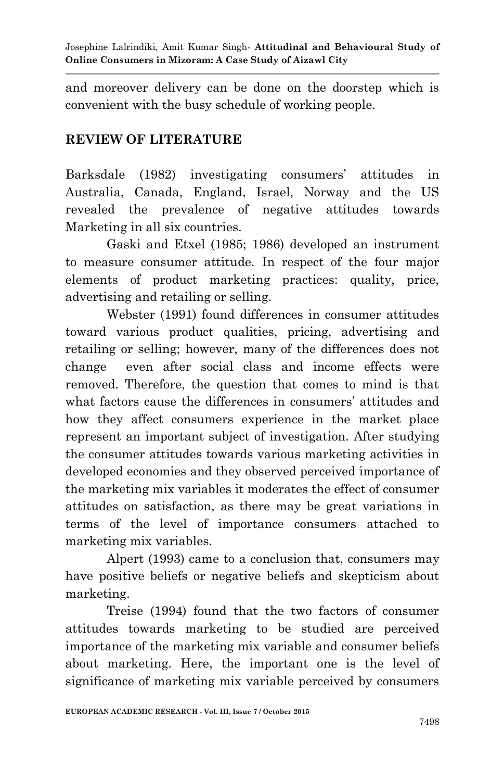and moreover delivery can be done on the doorstep which is convenient with the busy schedule of working people.

## **REVIEW OF LITERATURE**

Barksdale (1982) investigating consumers' attitudes in Australia, Canada, England, Israel, Norway and the US revealed the prevalence of negative attitudes towards Marketing in all six countries.

Gaski and Etxel (1985; 1986) developed an instrument to measure consumer attitude. In respect of the four major elements of product marketing practices: quality, price, advertising and retailing or selling.

Webster (1991) found differences in consumer attitudes toward various product qualities, pricing, advertising and retailing or selling; however, many of the differences does not change even after social class and income effects were removed. Therefore, the question that comes to mind is that what factors cause the differences in consumers' attitudes and how they affect consumers experience in the market place represent an important subject of investigation. After studying the consumer attitudes towards various marketing activities in developed economies and they observed perceived importance of the marketing mix variables it moderates the effect of consumer attitudes on satisfaction, as there may be great variations in terms of the level of importance consumers attached to marketing mix variables.

Alpert (1993) came to a conclusion that, consumers may have positive beliefs or negative beliefs and skepticism about marketing.

Treise (1994) found that the two factors of consumer attitudes towards marketing to be studied are perceived importance of the marketing mix variable and consumer beliefs about marketing. Here, the important one is the level of significance of marketing mix variable perceived by consumers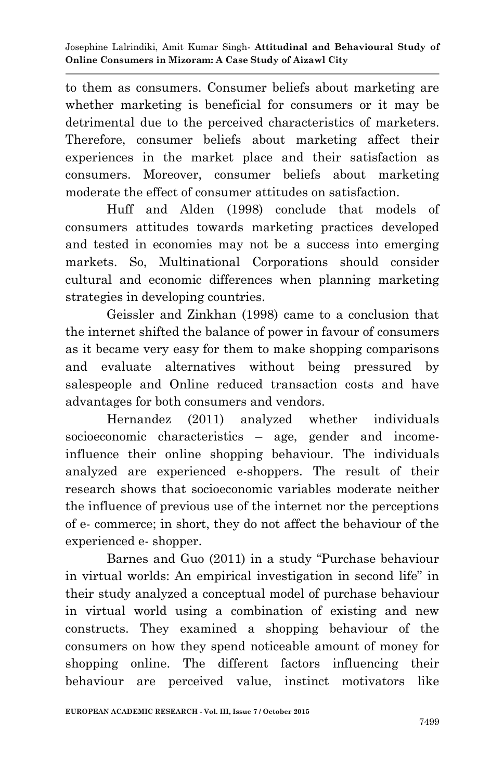to them as consumers. Consumer beliefs about marketing are whether marketing is beneficial for consumers or it may be detrimental due to the perceived characteristics of marketers. Therefore, consumer beliefs about marketing affect their experiences in the market place and their satisfaction as consumers. Moreover, consumer beliefs about marketing moderate the effect of consumer attitudes on satisfaction.

Huff and Alden (1998) conclude that models of consumers attitudes towards marketing practices developed and tested in economies may not be a success into emerging markets. So, Multinational Corporations should consider cultural and economic differences when planning marketing strategies in developing countries.

Geissler and Zinkhan (1998) came to a conclusion that the internet shifted the balance of power in favour of consumers as it became very easy for them to make shopping comparisons and evaluate alternatives without being pressured by salespeople and Online reduced transaction costs and have advantages for both consumers and vendors.

Hernandez (2011) analyzed whether individuals socioeconomic characteristics – age, gender and incomeinfluence their online shopping behaviour. The individuals analyzed are experienced e-shoppers. The result of their research shows that socioeconomic variables moderate neither the influence of previous use of the internet nor the perceptions of e- commerce; in short, they do not affect the behaviour of the experienced e- shopper.

Barnes and Guo (2011) in a study "Purchase behaviour in virtual worlds: An empirical investigation in second life" in their study analyzed a conceptual model of purchase behaviour in virtual world using a combination of existing and new constructs. They examined a shopping behaviour of the consumers on how they spend noticeable amount of money for shopping online. The different factors influencing their behaviour are perceived value, instinct motivators like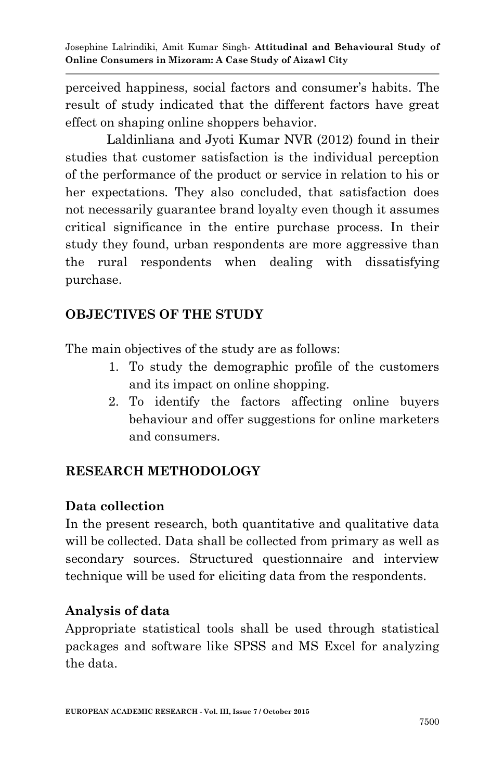perceived happiness, social factors and consumer"s habits. The result of study indicated that the different factors have great effect on shaping online shoppers behavior.

Laldinliana and Jyoti Kumar NVR (2012) found in their studies that customer satisfaction is the individual perception of the performance of the product or service in relation to his or her expectations. They also concluded, that satisfaction does not necessarily guarantee brand loyalty even though it assumes critical significance in the entire purchase process. In their study they found, urban respondents are more aggressive than the rural respondents when dealing with dissatisfying purchase.

### **OBJECTIVES OF THE STUDY**

The main objectives of the study are as follows:

- 1. To study the demographic profile of the customers and its impact on online shopping.
- 2. To identify the factors affecting online buyers behaviour and offer suggestions for online marketers and consumers.

## **RESEARCH METHODOLOGY**

### **Data collection**

In the present research, both quantitative and qualitative data will be collected. Data shall be collected from primary as well as secondary sources. Structured questionnaire and interview technique will be used for eliciting data from the respondents.

### **Analysis of data**

Appropriate statistical tools shall be used through statistical packages and software like SPSS and MS Excel for analyzing the data.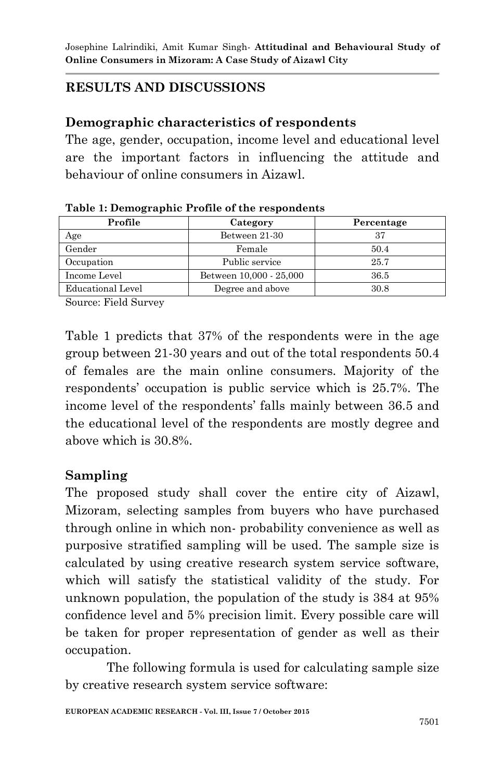# **RESULTS AND DISCUSSIONS**

### **Demographic characteristics of respondents**

The age, gender, occupation, income level and educational level are the important factors in influencing the attitude and behaviour of online consumers in Aizawl.

| Profile           | Category                | Percentage |  |
|-------------------|-------------------------|------------|--|
| Age               | Between 21-30           | 37         |  |
| Gender            | Female                  | 50.4       |  |
| Occupation        | Public service          | 25.7       |  |
| Income Level      | Between 10,000 - 25,000 | 36.5       |  |
| Educational Level | Degree and above        | 30.8       |  |

| Table 1: Demographic Profile of the respondents |  |  |
|-------------------------------------------------|--|--|
|-------------------------------------------------|--|--|

Source: Field Survey

Table 1 predicts that 37% of the respondents were in the age group between 21-30 years and out of the total respondents 50.4 of females are the main online consumers. Majority of the respondents" occupation is public service which is 25.7%. The income level of the respondents' falls mainly between 36.5 and the educational level of the respondents are mostly degree and above which is 30.8%.

#### **Sampling**

The proposed study shall cover the entire city of Aizawl, Mizoram, selecting samples from buyers who have purchased through online in which non- probability convenience as well as purposive stratified sampling will be used. The sample size is calculated by using creative research system service software, which will satisfy the statistical validity of the study. For unknown population, the population of the study is 384 at 95% confidence level and 5% precision limit. Every possible care will be taken for proper representation of gender as well as their occupation.

The following formula is used for calculating sample size by creative research system service software: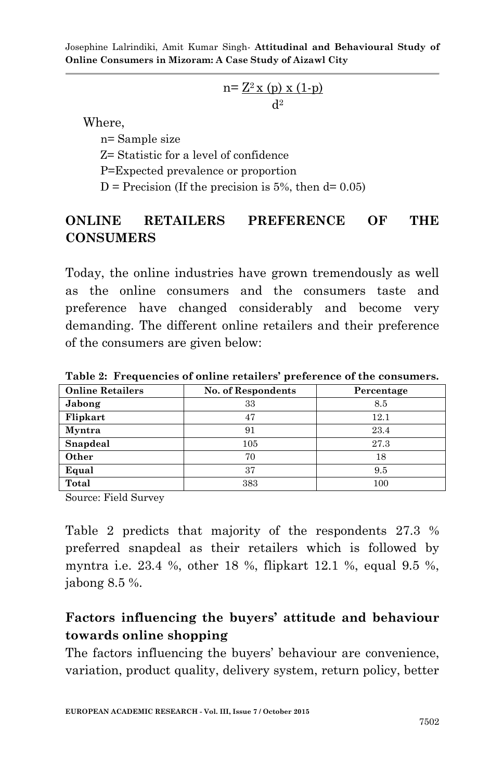$$
n = \frac{Z^2 x (p) x (1-p)}{d^2}
$$

Where,

n= Sample size

Z= Statistic for a level of confidence

P=Expected prevalence or proportion

 $D = Precision (If the precision is 5\%, then d= 0.05)$ 

## **ONLINE RETAILERS PREFERENCE OF THE CONSUMERS**

Today, the online industries have grown tremendously as well as the online consumers and the consumers taste and preference have changed considerably and become very demanding. The different online retailers and their preference of the consumers are given below:

| <b>Online Retailers</b> | <b>No. of Respondents</b> | Percentage |  |
|-------------------------|---------------------------|------------|--|
| Jabong                  | 33                        | 8.5        |  |
| Flipkart                | 47                        | 12.1       |  |
| Myntra                  | 91                        | 23.4       |  |
| Snapdeal                | 105                       | 27.3       |  |
| Other                   | 70                        | 18         |  |
| Equal                   | 37                        | 9.5        |  |
| Total                   | 383                       | 100        |  |

**Table 2: Frequencies of online retailers' preference of the consumers.**

Source: Field Survey

Table 2 predicts that majority of the respondents 27.3 % preferred snapdeal as their retailers which is followed by myntra i.e. 23.4 %, other 18 %, flipkart 12.1 %, equal 9.5 %, jabong 8.5 %.

# **Factors influencing the buyers' attitude and behaviour towards online shopping**

The factors influencing the buyers' behaviour are convenience, variation, product quality, delivery system, return policy, better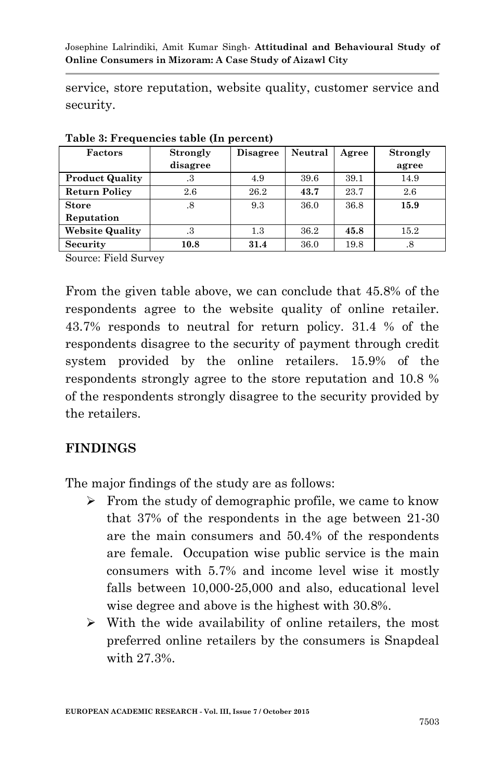service, store reputation, website quality, customer service and security.

| Factors                | <b>Strongly</b> | <b>Disagree</b> | Neutral | Agree | <b>Strongly</b> |
|------------------------|-----------------|-----------------|---------|-------|-----------------|
|                        | disagree        |                 |         |       | agree           |
| <b>Product Quality</b> | .3              | 4.9             | 39.6    | 39.1  | 14.9            |
| <b>Return Policy</b>   | 2.6             | 26.2            | 43.7    | 23.7  | 2.6             |
| <b>Store</b>           | $.8\,$          | 9.3             | 36.0    | 36.8  | 15.9            |
| Reputation             |                 |                 |         |       |                 |
| <b>Website Quality</b> | .3              | $1.3\,$         | 36.2    | 45.8  | 15.2            |
| <b>Security</b>        | 10.8            | 31.4            | 36.0    | 19.8  | .8              |

**Table 3: Frequencies table (In percent)**

Source: Field Survey

From the given table above, we can conclude that 45.8% of the respondents agree to the website quality of online retailer. 43.7% responds to neutral for return policy. 31.4 % of the respondents disagree to the security of payment through credit system provided by the online retailers. 15.9% of the respondents strongly agree to the store reputation and 10.8 % of the respondents strongly disagree to the security provided by the retailers.

### **FINDINGS**

The major findings of the study are as follows:

- $\triangleright$  From the study of demographic profile, we came to know that 37% of the respondents in the age between 21-30 are the main consumers and 50.4% of the respondents are female. Occupation wise public service is the main consumers with 5.7% and income level wise it mostly falls between 10,000-25,000 and also, educational level wise degree and above is the highest with 30.8%.
- $\triangleright$  With the wide availability of online retailers, the most preferred online retailers by the consumers is Snapdeal with 27.3%.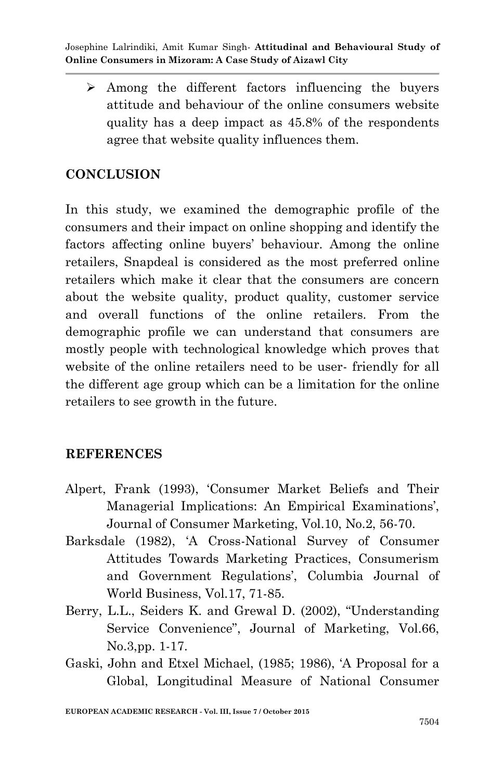$\geq$  Among the different factors influencing the buyers attitude and behaviour of the online consumers website quality has a deep impact as 45.8% of the respondents agree that website quality influences them.

## **CONCLUSION**

In this study, we examined the demographic profile of the consumers and their impact on online shopping and identify the factors affecting online buyers" behaviour. Among the online retailers, Snapdeal is considered as the most preferred online retailers which make it clear that the consumers are concern about the website quality, product quality, customer service and overall functions of the online retailers. From the demographic profile we can understand that consumers are mostly people with technological knowledge which proves that website of the online retailers need to be user- friendly for all the different age group which can be a limitation for the online retailers to see growth in the future.

## **REFERENCES**

- Alpert, Frank (1993), "Consumer Market Beliefs and Their Managerial Implications: An Empirical Examinations', Journal of Consumer Marketing, Vol.10, No.2, 56-70.
- Barksdale (1982), "A Cross-National Survey of Consumer Attitudes Towards Marketing Practices, Consumerism and Government Regulations', Columbia Journal of World Business, Vol.17, 71-85.
- Berry, L.L., Seiders K. and Grewal D. (2002), "Understanding Service Convenience", Journal of Marketing, Vol.66, No.3,pp. 1-17.
- Gaski, John and Etxel Michael, (1985; 1986), "A Proposal for a Global, Longitudinal Measure of National Consumer